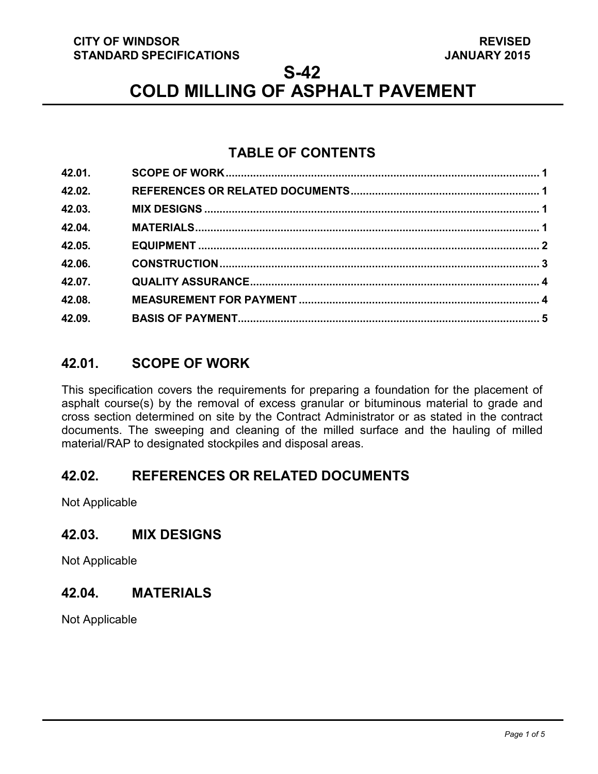#### **CITY OF WINDSOR STANDARD SPECIFICATIONS**

**S-42**

# **COLD MILLING OF ASPHALT PAVEMENT**

# **TABLE OF CONTENTS**

| 42.01. |  |
|--------|--|
| 42.02. |  |
| 42.03. |  |
| 42.04. |  |
| 42.05. |  |
| 42.06. |  |
| 42.07. |  |
| 42.08. |  |
| 42.09. |  |

# <span id="page-0-3"></span>**42.01. SCOPE OF WORK**

This specification covers the requirements for preparing a foundation for the placement of asphalt course(s) by the removal of excess granular or bituminous material to grade and cross section determined on site by the Contract Administrator or as stated in the contract documents. The sweeping and cleaning of the milled surface and the hauling of milled material/RAP to designated stockpiles and disposal areas.

## <span id="page-0-0"></span>**42.02. REFERENCES OR RELATED DOCUMENTS**

Not Applicable

## <span id="page-0-1"></span>**42.03. MIX DESIGNS**

Not Applicable

## <span id="page-0-2"></span>**42.04. MATERIALS**

Not Applicable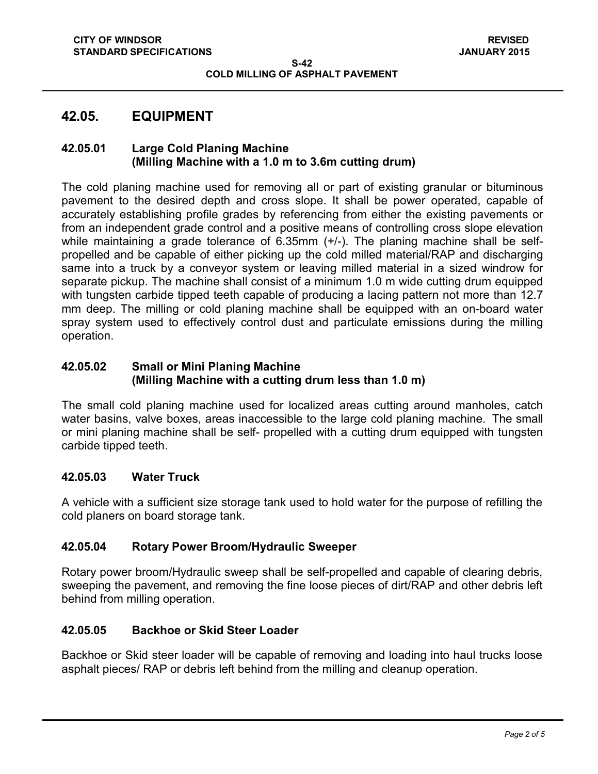## <span id="page-1-0"></span>**42.05. EQUIPMENT**

#### **42.05.01 Large Cold Planing Machine (Milling Machine with a 1.0 m to 3.6m cutting drum)**

The cold planing machine used for removing all or part of existing granular or bituminous pavement to the desired depth and cross slope. It shall be power operated, capable of accurately establishing profile grades by referencing from either the existing pavements or from an independent grade control and a positive means of controlling cross slope elevation while maintaining a grade tolerance of 6.35mm (+/-). The planing machine shall be selfpropelled and be capable of either picking up the cold milled material/RAP and discharging same into a truck by a conveyor system or leaving milled material in a sized windrow for separate pickup. The machine shall consist of a minimum 1.0 m wide cutting drum equipped with tungsten carbide tipped teeth capable of producing a lacing pattern not more than 12.7 mm deep. The milling or cold planing machine shall be equipped with an on-board water spray system used to effectively control dust and particulate emissions during the milling operation.

#### **42.05.02 Small or Mini Planing Machine (Milling Machine with a cutting drum less than 1.0 m)**

The small cold planing machine used for localized areas cutting around manholes, catch water basins, valve boxes, areas inaccessible to the large cold planing machine. The small or mini planing machine shall be self- propelled with a cutting drum equipped with tungsten carbide tipped teeth.

#### **42.05.03 Water Truck**

A vehicle with a sufficient size storage tank used to hold water for the purpose of refilling the cold planers on board storage tank.

#### **42.05.04 Rotary Power Broom/Hydraulic Sweeper**

Rotary power broom/Hydraulic sweep shall be self-propelled and capable of clearing debris, sweeping the pavement, and removing the fine loose pieces of dirt/RAP and other debris left behind from milling operation.

#### **42.05.05 Backhoe or Skid Steer Loader**

Backhoe or Skid steer loader will be capable of removing and loading into haul trucks loose asphalt pieces/ RAP or debris left behind from the milling and cleanup operation.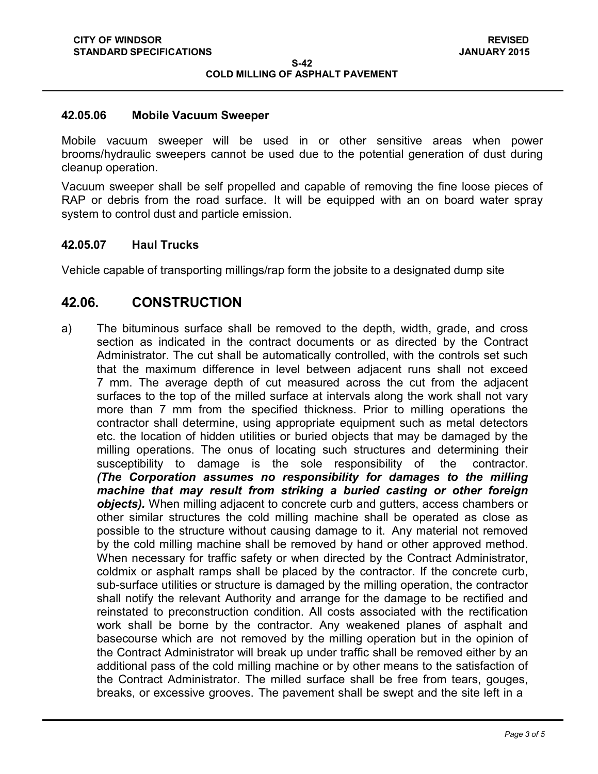#### **42.05.06 Mobile Vacuum Sweeper**

Mobile vacuum sweeper will be used in or other sensitive areas when power brooms/hydraulic sweepers cannot be used due to the potential generation of dust during cleanup operation.

Vacuum sweeper shall be self propelled and capable of removing the fine loose pieces of RAP or debris from the road surface. It will be equipped with an on board water spray system to control dust and particle emission.

#### **42.05.07 Haul Trucks**

Vehicle capable of transporting millings/rap form the jobsite to a designated dump site

### <span id="page-2-0"></span>**42.06. CONSTRUCTION**

a) The bituminous surface shall be removed to the depth, width, grade, and cross section as indicated in the contract documents or as directed by the Contract Administrator. The cut shall be automatically controlled, with the controls set such that the maximum difference in level between adjacent runs shall not exceed 7 mm. The average depth of cut measured across the cut from the adjacent surfaces to the top of the milled surface at intervals along the work shall not vary more than 7 mm from the specified thickness. Prior to milling operations the contractor shall determine, using appropriate equipment such as metal detectors etc. the location of hidden utilities or buried objects that may be damaged by the milling operations. The onus of locating such structures and determining their susceptibility to damage is the sole responsibility of the contractor. *(The Corporation assumes no responsibility for damages to the milling machine that may result from striking a buried casting or other foreign objects).* When milling adjacent to concrete curb and gutters, access chambers or other similar structures the cold milling machine shall be operated as close as possible to the structure without causing damage to it. Any material not removed by the cold milling machine shall be removed by hand or other approved method. When necessary for traffic safety or when directed by the Contract Administrator, coldmix or asphalt ramps shall be placed by the contractor. If the concrete curb, sub-surface utilities or structure is damaged by the milling operation, the contractor shall notify the relevant Authority and arrange for the damage to be rectified and reinstated to preconstruction condition. All costs associated with the rectification work shall be borne by the contractor. Any weakened planes of asphalt and basecourse which are not removed by the milling operation but in the opinion of the Contract Administrator will break up under traffic shall be removed either by an additional pass of the cold milling machine or by other means to the satisfaction of the Contract Administrator. The milled surface shall be free from tears, gouges, breaks, or excessive grooves. The pavement shall be swept and the site left in a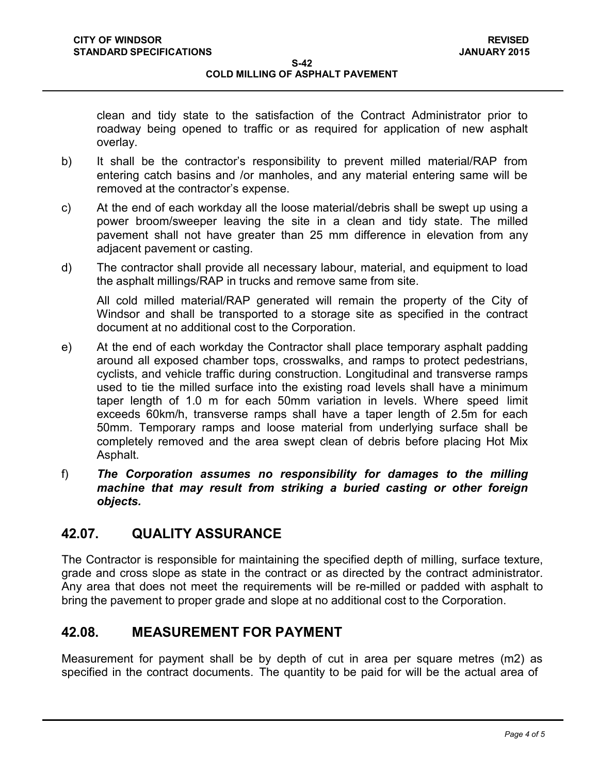clean and tidy state to the satisfaction of the Contract Administrator prior to roadway being opened to traffic or as required for application of new asphalt overlay.

- b) It shall be the contractor's responsibility to prevent milled material/RAP from entering catch basins and /or manholes, and any material entering same will be removed at the contractor's expense.
- c) At the end of each workday all the loose material/debris shall be swept up using a power broom/sweeper leaving the site in a clean and tidy state. The milled pavement shall not have greater than 25 mm difference in elevation from any adjacent pavement or casting.
- d) The contractor shall provide all necessary labour, material, and equipment to load the asphalt millings/RAP in trucks and remove same from site.

All cold milled material/RAP generated will remain the property of the City of Windsor and shall be transported to a storage site as specified in the contract document at no additional cost to the Corporation.

- e) At the end of each workday the Contractor shall place temporary asphalt padding around all exposed chamber tops, crosswalks, and ramps to protect pedestrians, cyclists, and vehicle traffic during construction. Longitudinal and transverse ramps used to tie the milled surface into the existing road levels shall have a minimum taper length of 1.0 m for each 50mm variation in levels. Where speed limit exceeds 60km/h, transverse ramps shall have a taper length of 2.5m for each 50mm. Temporary ramps and loose material from underlying surface shall be completely removed and the area swept clean of debris before placing Hot Mix Asphalt.
- f) *The Corporation assumes no responsibility for damages to the milling machine that may result from striking a buried casting or other foreign objects.*

# <span id="page-3-0"></span>**42.07. QUALITY ASSURANCE**

The Contractor is responsible for maintaining the specified depth of milling, surface texture, grade and cross slope as state in the contract or as directed by the contract administrator. Any area that does not meet the requirements will be re-milled or padded with asphalt to bring the pavement to proper grade and slope at no additional cost to the Corporation.

# <span id="page-3-1"></span>**42.08. MEASUREMENT FOR PAYMENT**

Measurement for payment shall be by depth of cut in area per square metres (m2) as specified in the contract documents. The quantity to be paid for will be the actual area of